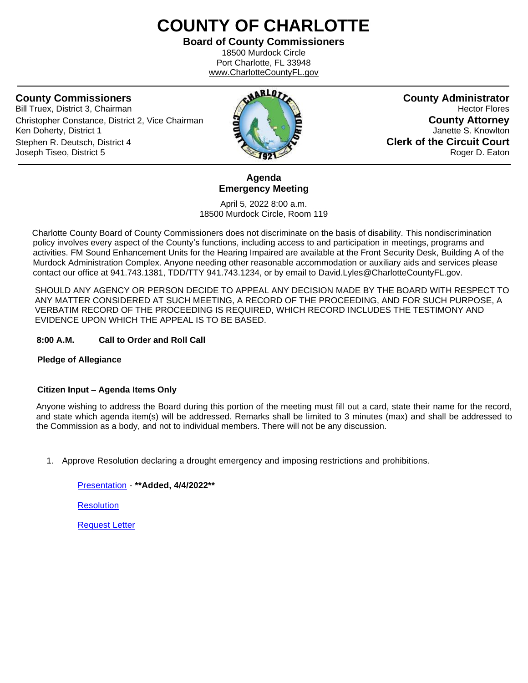# **COUNTY OF CHARLOTTE**

**Board of County Commissioners** 18500 Murdock Circle Port Charlotte, FL 33948

www.CharlotteCountyFL.gov

Bill Truex, District 3, Chairman **Hector Flores Hector Flores Hector Flores** Christopher Constance, District 2, Vice Chairman **County Attorney** Ken Doherty, District 1 **Janette S. Knowlton** Stephen R. Deutsch, District 4 **Clerk of the Circuit Court** Joseph Tiseo, District 5 Roger D. Eaton



**Agenda Emergency Meeting**

April 5, 2022 8:00 a.m. 18500 Murdock Circle, Room 119

 Charlotte County Board of County Commissioners does not discriminate on the basis of disability. This nondiscrimination policy involves every aspect of the County's functions, including access to and participation in meetings, programs and activities. FM Sound Enhancement Units for the Hearing Impaired are available at the Front Security Desk, Building A of the Murdock Administration Complex. Anyone needing other reasonable accommodation or auxiliary aids and services please contact our office at 941.743.1381, TDD/TTY 941.743.1234, or by email to David.Lyles@CharlotteCountyFL.gov.

SHOULD ANY AGENCY OR PERSON DECIDE TO APPEAL ANY DECISION MADE BY THE BOARD WITH RESPECT TO ANY MATTER CONSIDERED AT SUCH MEETING, A RECORD OF THE PROCEEDING, AND FOR SUCH PURPOSE, A VERBATIM RECORD OF THE PROCEEDING IS REQUIRED, WHICH RECORD INCLUDES THE TESTIMONY AND EVIDENCE UPON WHICH THE APPEAL IS TO BE BASED.

#### **8:00 A.M. Call to Order and Roll Call**

### **Pledge of Allegiance**

#### **Citizen Input – Agenda Items Only**

Anyone wishing to address the Board during this portion of the meeting must fill out a card, state their name for the record, and state which agenda item(s) will be addressed. Remarks shall be limited to 3 minutes (max) and shall be addressed to the Commission as a body, and not to individual members. There will not be any discussion.

1. Approve Resolution declaring a drought emergency and imposing restrictions and prohibitions.

[Presentation](https://data.charlottecountyfl.gov/agenda/20220405EM/1a.pdf) - **\*\*Added, 4/4/2022\*\***

**[Resolution](https://data.charlottecountyfl.gov/agenda/20220405EM/1b.pdf)** 

[Request Letter](https://data.charlottecountyfl.gov/agenda/20220405EM/1c.pdf)

**County Commissioners County Administrator**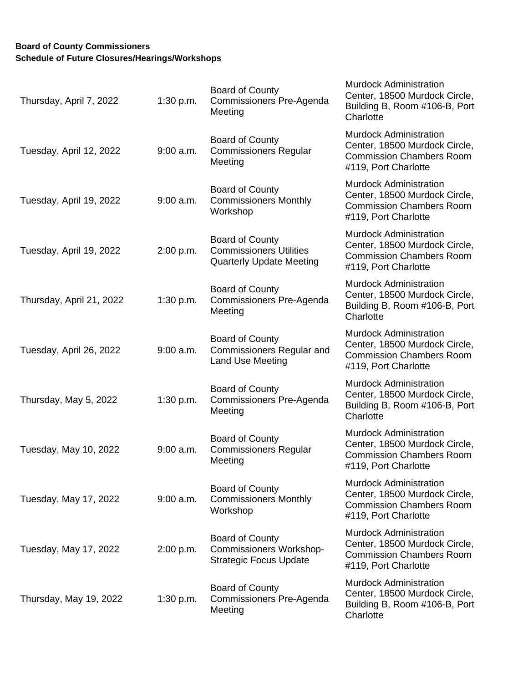## **Board of County Commissioners Schedule of Future Closures/Hearings/Workshops**

| Thursday, April 7, 2022  | 1:30 p.m.   | Board of County<br>Commissioners Pre-Agenda<br>Meeting                                    | <b>Murdock Administration</b><br>Center, 18500 Murdock Circle,<br>Building B, Room #106-B, Port<br>Charlotte              |
|--------------------------|-------------|-------------------------------------------------------------------------------------------|---------------------------------------------------------------------------------------------------------------------------|
| Tuesday, April 12, 2022  | $9:00$ a.m. | Board of County<br><b>Commissioners Regular</b><br>Meeting                                | <b>Murdock Administration</b><br>Center, 18500 Murdock Circle,<br><b>Commission Chambers Room</b><br>#119, Port Charlotte |
| Tuesday, April 19, 2022  | $9:00$ a.m. | Board of County<br><b>Commissioners Monthly</b><br>Workshop                               | <b>Murdock Administration</b><br>Center, 18500 Murdock Circle,<br><b>Commission Chambers Room</b><br>#119, Port Charlotte |
| Tuesday, April 19, 2022  | 2:00 p.m.   | Board of County<br><b>Commissioners Utilities</b><br><b>Quarterly Update Meeting</b>      | <b>Murdock Administration</b><br>Center, 18500 Murdock Circle,<br><b>Commission Chambers Room</b><br>#119, Port Charlotte |
| Thursday, April 21, 2022 | 1:30 p.m.   | Board of County<br>Commissioners Pre-Agenda<br>Meeting                                    | <b>Murdock Administration</b><br>Center, 18500 Murdock Circle,<br>Building B, Room #106-B, Port<br>Charlotte              |
| Tuesday, April 26, 2022  | $9:00$ a.m. | Board of County<br><b>Commissioners Regular and</b><br>Land Use Meeting                   | Murdock Administration<br>Center, 18500 Murdock Circle,<br><b>Commission Chambers Room</b><br>#119, Port Charlotte        |
| Thursday, May 5, 2022    | 1:30 p.m.   | Board of County<br>Commissioners Pre-Agenda<br>Meeting                                    | <b>Murdock Administration</b><br>Center, 18500 Murdock Circle,<br>Building B, Room #106-B, Port<br>Charlotte              |
| Tuesday, May 10, 2022    | $9:00$ a.m. | Board of County<br><b>Commissioners Regular</b><br>Meeting                                | <b>Murdock Administration</b><br>Center, 18500 Murdock Circle,<br><b>Commission Chambers Room</b><br>#119, Port Charlotte |
| Tuesday, May 17, 2022    | $9:00$ a.m. | Board of County<br><b>Commissioners Monthly</b><br>Workshop                               | <b>Murdock Administration</b><br>Center, 18500 Murdock Circle,<br><b>Commission Chambers Room</b><br>#119, Port Charlotte |
| Tuesday, May 17, 2022    | 2:00 p.m.   | <b>Board of County</b><br><b>Commissioners Workshop-</b><br><b>Strategic Focus Update</b> | <b>Murdock Administration</b><br>Center, 18500 Murdock Circle,<br><b>Commission Chambers Room</b><br>#119, Port Charlotte |
| Thursday, May 19, 2022   | 1:30 p.m.   | <b>Board of County</b><br>Commissioners Pre-Agenda<br>Meeting                             | <b>Murdock Administration</b><br>Center, 18500 Murdock Circle,<br>Building B, Room #106-B, Port<br>Charlotte              |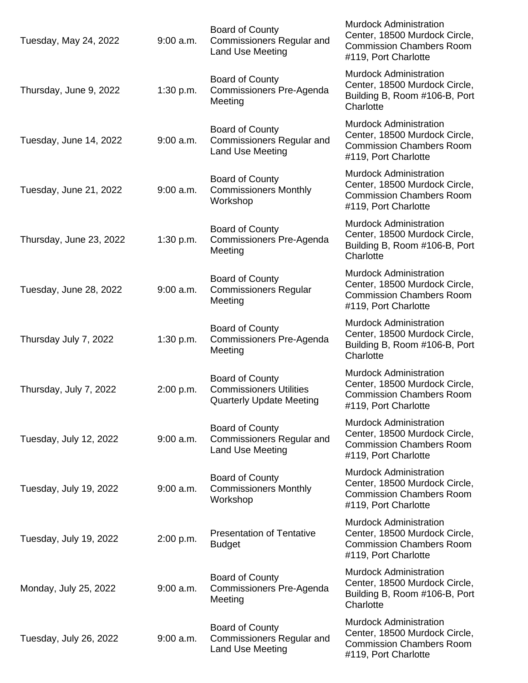| Tuesday, May 24, 2022   | $9:00$ a.m. | Board of County<br><b>Commissioners Regular and</b><br><b>Land Use Meeting</b>              | <b>Murdock Administration</b><br>Center, 18500 Murdock Circle,<br><b>Commission Chambers Room</b><br>#119, Port Charlotte |
|-------------------------|-------------|---------------------------------------------------------------------------------------------|---------------------------------------------------------------------------------------------------------------------------|
| Thursday, June 9, 2022  | 1:30 p.m.   | <b>Board of County</b><br>Commissioners Pre-Agenda<br>Meeting                               | <b>Murdock Administration</b><br>Center, 18500 Murdock Circle,<br>Building B, Room #106-B, Port<br>Charlotte              |
| Tuesday, June 14, 2022  | $9:00$ a.m. | <b>Board of County</b><br><b>Commissioners Regular and</b><br>Land Use Meeting              | <b>Murdock Administration</b><br>Center, 18500 Murdock Circle,<br><b>Commission Chambers Room</b><br>#119, Port Charlotte |
| Tuesday, June 21, 2022  | $9:00$ a.m. | Board of County<br><b>Commissioners Monthly</b><br>Workshop                                 | <b>Murdock Administration</b><br>Center, 18500 Murdock Circle,<br><b>Commission Chambers Room</b><br>#119, Port Charlotte |
| Thursday, June 23, 2022 | 1:30 p.m.   | Board of County<br>Commissioners Pre-Agenda<br>Meeting                                      | <b>Murdock Administration</b><br>Center, 18500 Murdock Circle,<br>Building B, Room #106-B, Port<br>Charlotte              |
| Tuesday, June 28, 2022  | $9:00$ a.m. | Board of County<br><b>Commissioners Regular</b><br>Meeting                                  | <b>Murdock Administration</b><br>Center, 18500 Murdock Circle,<br><b>Commission Chambers Room</b><br>#119, Port Charlotte |
| Thursday July 7, 2022   | 1:30 p.m.   | Board of County<br>Commissioners Pre-Agenda<br>Meeting                                      | <b>Murdock Administration</b><br>Center, 18500 Murdock Circle,<br>Building B, Room #106-B, Port<br>Charlotte              |
| Thursday, July 7, 2022  | 2:00 p.m.   | <b>Board of County</b><br><b>Commissioners Utilities</b><br><b>Quarterly Update Meeting</b> | <b>Murdock Administration</b><br>Center, 18500 Murdock Circle,<br><b>Commission Chambers Room</b><br>#119, Port Charlotte |
| Tuesday, July 12, 2022  | $9:00$ a.m. | <b>Board of County</b><br><b>Commissioners Regular and</b><br>Land Use Meeting              | <b>Murdock Administration</b><br>Center, 18500 Murdock Circle,<br><b>Commission Chambers Room</b><br>#119, Port Charlotte |
| Tuesday, July 19, 2022  | $9:00$ a.m. | <b>Board of County</b><br><b>Commissioners Monthly</b><br>Workshop                          | <b>Murdock Administration</b><br>Center, 18500 Murdock Circle,<br><b>Commission Chambers Room</b><br>#119, Port Charlotte |
| Tuesday, July 19, 2022  | 2:00 p.m.   | <b>Presentation of Tentative</b><br><b>Budget</b>                                           | <b>Murdock Administration</b><br>Center, 18500 Murdock Circle,<br><b>Commission Chambers Room</b><br>#119, Port Charlotte |
| Monday, July 25, 2022   | $9:00$ a.m. | Board of County<br>Commissioners Pre-Agenda<br>Meeting                                      | <b>Murdock Administration</b><br>Center, 18500 Murdock Circle,<br>Building B, Room #106-B, Port<br>Charlotte              |
| Tuesday, July 26, 2022  | $9:00$ a.m. | Board of County<br><b>Commissioners Regular and</b><br>Land Use Meeting                     | <b>Murdock Administration</b><br>Center, 18500 Murdock Circle,<br><b>Commission Chambers Room</b><br>#119, Port Charlotte |